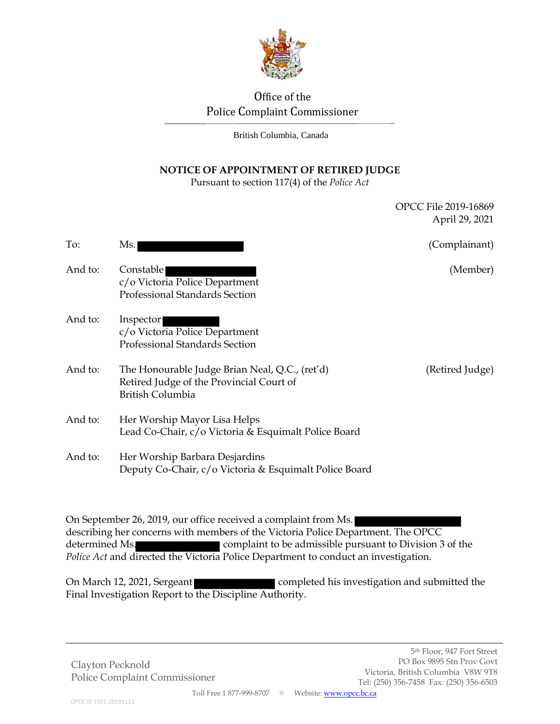

# Office of the Police Complaint Commissioner

British Columbia, Canada

### **NOTICE OF APPOINTMENT OF RETIRED JUDGE**

Pursuant to section 117(4) of the *Police Act*

|         |                                                                                                                | OPCC File 2019-16869<br>April 29, 2021 |
|---------|----------------------------------------------------------------------------------------------------------------|----------------------------------------|
| To:     | Ms.                                                                                                            | (Complainant)                          |
| And to: | Constable<br>c/o Victoria Police Department<br>Professional Standards Section                                  | (Member)                               |
| And to: | Inspector<br>c/o Victoria Police Department<br>Professional Standards Section                                  |                                        |
| And to: | The Honourable Judge Brian Neal, Q.C., (ret'd)<br>Retired Judge of the Provincial Court of<br>British Columbia | (Retired Judge)                        |
| And to: | Her Worship Mayor Lisa Helps<br>Lead Co-Chair, c/o Victoria & Esquimalt Police Board                           |                                        |
| And to: | Her Worship Barbara Desjardins<br>Deputy Co-Chair, c/o Victoria & Esquimalt Police Board                       |                                        |

On September 26, 2019, our office received a complaint from Ms. describing her concerns with members of the Victoria Police Department. The OPCC determined Ms. complaint to be admissible pursuant to Division 3 of the *Police Act* and directed the Victoria Police Department to conduct an investigation.

On March 12, 2021, Sergeant **completed his investigation and submitted the** Final Investigation Report to the Discipline Authority.

Clayton Pecknold Police Complaint Commissioner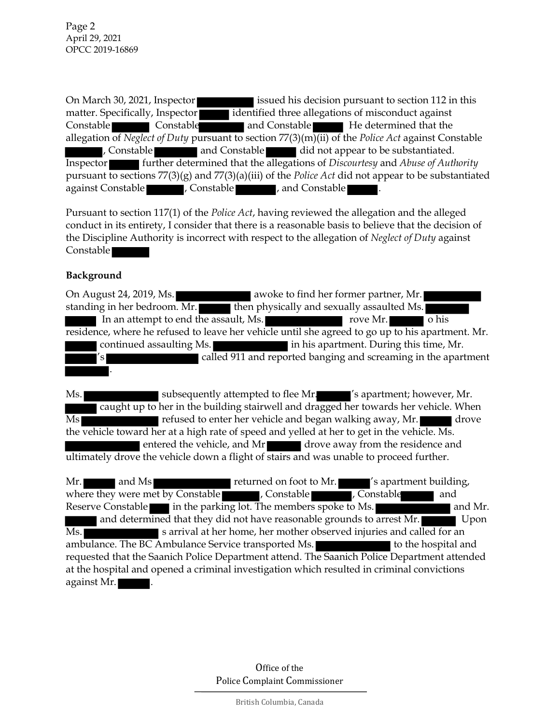Page 2 April 29, 2021 OPCC 2019-16869

On March 30, 2021, Inspector issued his decision pursuant to section 112 in this matter. Specifically, Inspector identified three allegations of misconduct against Constable **Constable Constable and Constable He determined that the** allegation of *Neglect of Duty* pursuant to section 77(3)(m)(ii) of the *Police Act* against Constable , Constable **and Constable and Constable did not appear to be substantiated.** Inspector further determined that the allegations of *Discourtesy* and *Abuse of Authority* pursuant to sections 77(3)(g) and 77(3)(a)(iii) of the *Police Act* did not appear to be substantiated against Constable **and Constable 1, Constable 1, and Constable** 

Pursuant to section 117(1) of the *Police Act*, having reviewed the allegation and the alleged conduct in its entirety, I consider that there is a reasonable basis to believe that the decision of the Discipline Authority is incorrect with respect to the allegation of *Neglect of Duty* against Constable

#### **Background**

On August 24, 2019, Ms. **a**woke to find her former partner, Mr. standing in her bedroom. Mr. **then physically and sexually assaulted Ms.** In an attempt to end the assault, Ms. The contract of the policy of his contract of the set of his contract of  $\mathbf{M}$ . residence, where he refused to leave her vehicle until she agreed to go up to his apartment. Mr. continued assaulting Ms. in his apartment. During this time, Mr. 's called 911 and reported banging and screaming in the apartment .

Ms. subsequently attempted to flee Mr.  $\blacksquare$  's apartment; however, Mr. caught up to her in the building stairwell and dragged her towards her vehicle. When Ms refused to enter her vehicle and began walking away, Mr. the vehicle toward her at a high rate of speed and yelled at her to get in the vehicle. Ms. entered the vehicle, and Mr drove away from the residence and ultimately drove the vehicle down a flight of stairs and was unable to proceed further.

Mr. and Ms returned on foot to Mr. 's apartment building, where they were met by Constable **and** , Constable **and** , Constable **and** and Reserve Constable in the parking lot. The members spoke to Ms. and determined that they did not have reasonable grounds to arrest Mr. Ms. s arrival at her home, her mother observed injuries and called for an ambulance. The BC Ambulance Service transported Ms. to the hospital and requested that the Saanich Police Department attend. The Saanich Police Department attended at the hospital and opened a criminal investigation which resulted in criminal convictions against Mr. .

> Office of the Police Complaint Commissioner

> > British Columbia, Canada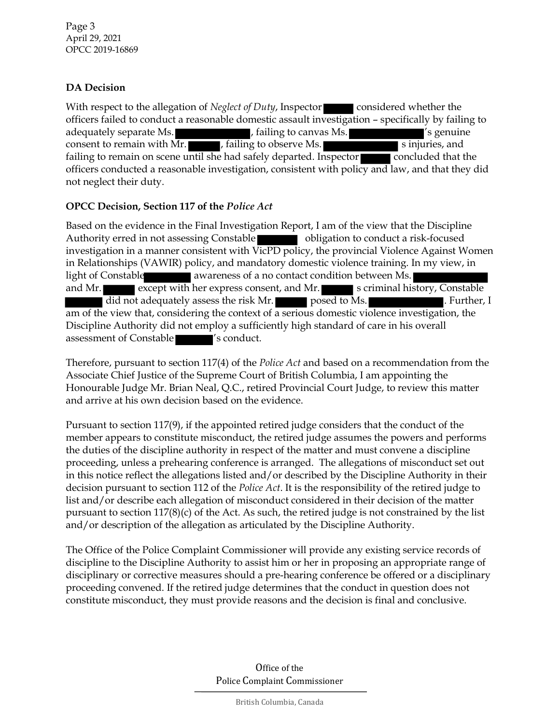## **DA Decision**

With respect to the allegation of *Neglect of Duty*, Inspector **considered whether the** officers failed to conduct a reasonable domestic assault investigation – specifically by failing to adequately separate Ms.  $\blacksquare$ , failing to canvas Ms.  $\blacksquare'$  is genuine consent to remain with Mr.  $\Box$ , failing to observe Ms.  $\Box$  sinjuries, and failing to remain on scene until she had safely departed. Inspector concluded that the officers conducted a reasonable investigation, consistent with policy and law, and that they did not neglect their duty.

## **OPCC Decision, Section 117 of the** *Police Act*

Based on the evidence in the Final Investigation Report, I am of the view that the Discipline Authority erred in not assessing Constable **obligation** to conduct a risk-focused investigation in a manner consistent with VicPD policy, the provincial Violence Against Women in Relationships (VAWIR) policy, and mandatory domestic violence training. In my view, in light of Constable awareness of a no contact condition between Ms. and Mr.  $\blacksquare$  except with her express consent, and Mr.  $\blacksquare$  s criminal history, Constable did not adequately assess the risk Mr. **posed to Ms. Further, I**. Further, I am of the view that, considering the context of a serious domestic violence investigation, the Discipline Authority did not employ a sufficiently high standard of care in his overall assessment of Constable  $\blacksquare$ 's conduct.

Therefore, pursuant to section 117(4) of the *Police Act* and based on a recommendation from the Associate Chief Justice of the Supreme Court of British Columbia, I am appointing the Honourable Judge Mr. Brian Neal, Q.C., retired Provincial Court Judge, to review this matter and arrive at his own decision based on the evidence.

Pursuant to section 117(9), if the appointed retired judge considers that the conduct of the member appears to constitute misconduct, the retired judge assumes the powers and performs the duties of the discipline authority in respect of the matter and must convene a discipline proceeding, unless a prehearing conference is arranged. The allegations of misconduct set out in this notice reflect the allegations listed and/or described by the Discipline Authority in their decision pursuant to section 112 of the *Police Act*. It is the responsibility of the retired judge to list and/or describe each allegation of misconduct considered in their decision of the matter pursuant to section 117(8)(c) of the Act. As such, the retired judge is not constrained by the list and/or description of the allegation as articulated by the Discipline Authority.

The Office of the Police Complaint Commissioner will provide any existing service records of discipline to the Discipline Authority to assist him or her in proposing an appropriate range of disciplinary or corrective measures should a pre-hearing conference be offered or a disciplinary proceeding convened. If the retired judge determines that the conduct in question does not constitute misconduct, they must provide reasons and the decision is final and conclusive.

> Office of the Police Complaint Commissioner